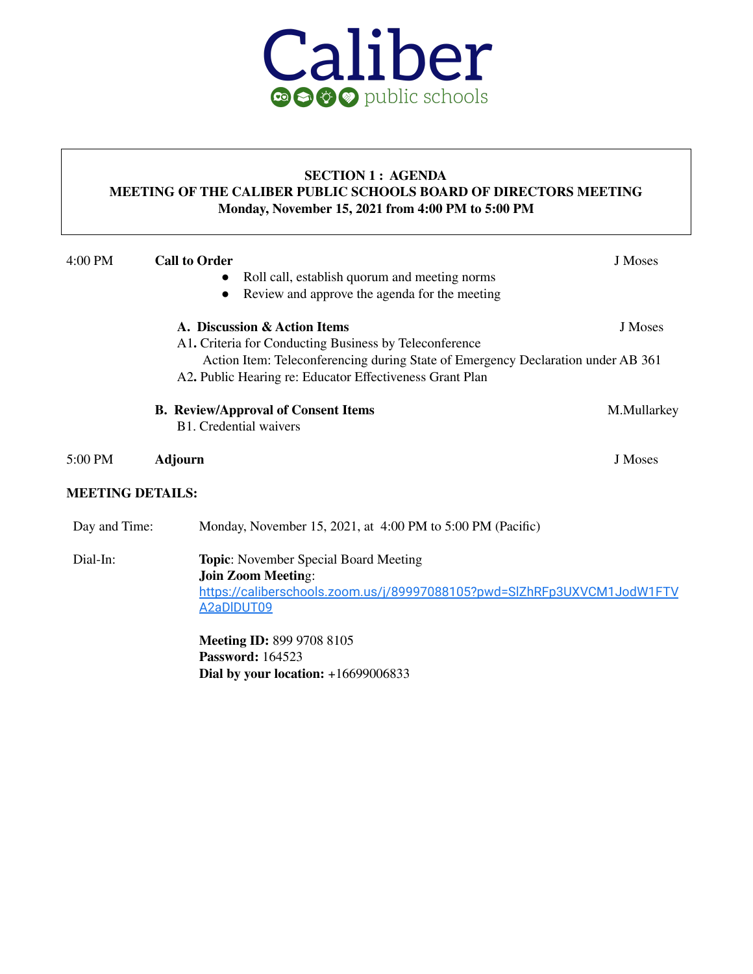

#### **SECTION 1 : AGENDA MEETING OF THE CALIBER PUBLIC SCHOOLS BOARD OF DIRECTORS MEETING Monday, November 15, 2021 from 4:00 PM to 5:00 PM**

| 4:00 PM                 | <b>Call to Order</b><br>$\bullet$<br>$\bullet$ | Roll call, establish quorum and meeting norms<br>Review and approve the agenda for the meeting                                                                                                                                         | J Moses     |
|-------------------------|------------------------------------------------|----------------------------------------------------------------------------------------------------------------------------------------------------------------------------------------------------------------------------------------|-------------|
|                         |                                                | A. Discussion & Action Items<br>A1. Criteria for Conducting Business by Teleconference<br>Action Item: Teleconferencing during State of Emergency Declaration under AB 361<br>A2. Public Hearing re: Educator Effectiveness Grant Plan | J Moses     |
|                         |                                                | <b>B.</b> Review/Approval of Consent Items<br>B1. Credential waivers                                                                                                                                                                   | M.Mullarkey |
| 5:00 PM                 | <b>Adjourn</b>                                 |                                                                                                                                                                                                                                        | J Moses     |
| <b>MEETING DETAILS:</b> |                                                |                                                                                                                                                                                                                                        |             |
| Day and Time:           |                                                | Monday, November 15, 2021, at 4:00 PM to 5:00 PM (Pacific)                                                                                                                                                                             |             |
| Dial-In:                |                                                | <b>Topic:</b> November Special Board Meeting<br><b>Join Zoom Meeting:</b><br>https://caliberschools.zoom.us/j/89997088105?pwd=SIZhRFp3UXVCM1JodW1FTV<br>A2aDIDUT09                                                                     |             |
|                         |                                                | <b>Meeting ID: 899 9708 8105</b><br>Password $\cdot$ 164523                                                                                                                                                                            |             |

**Password:** 164523 **Dial by your location:** +16699006833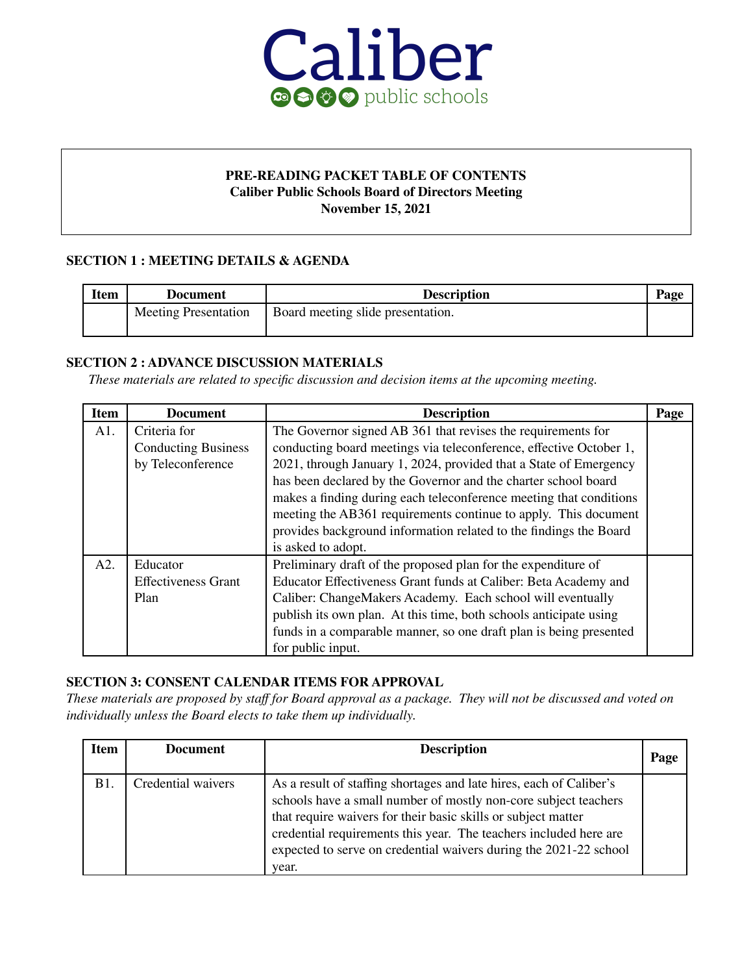

#### **PRE-READING PACKET TABLE OF CONTENTS Caliber Public Schools Board of Directors Meeting November 15, 2021**

#### **SECTION 1 : MEETING DETAILS & AGENDA**

| <b>Item</b> | Document                    | <b>Description</b>                | Page |
|-------------|-----------------------------|-----------------------------------|------|
|             | <b>Meeting Presentation</b> | Board meeting slide presentation. |      |

#### **SECTION 2 : ADVANCE DISCUSSION MATERIALS**

*These materials are related to specific discussion and decision items at the upcoming meeting.*

| <b>Item</b> | <b>Document</b>                                                 | <b>Description</b>                                                                                                                                                                                                                                                                                                                                                                                                                                                                      | Page |
|-------------|-----------------------------------------------------------------|-----------------------------------------------------------------------------------------------------------------------------------------------------------------------------------------------------------------------------------------------------------------------------------------------------------------------------------------------------------------------------------------------------------------------------------------------------------------------------------------|------|
| A1.         | Criteria for<br><b>Conducting Business</b><br>by Teleconference | The Governor signed AB 361 that revises the requirements for<br>conducting board meetings via teleconference, effective October 1,<br>2021, through January 1, 2024, provided that a State of Emergency<br>has been declared by the Governor and the charter school board<br>makes a finding during each teleconference meeting that conditions<br>meeting the AB361 requirements continue to apply. This document<br>provides background information related to the findings the Board |      |
| A2.         | Educator<br><b>Effectiveness Grant</b><br>Plan                  | is asked to adopt.<br>Preliminary draft of the proposed plan for the expenditure of<br>Educator Effectiveness Grant funds at Caliber: Beta Academy and<br>Caliber: ChangeMakers Academy. Each school will eventually<br>publish its own plan. At this time, both schools anticipate using<br>funds in a comparable manner, so one draft plan is being presented<br>for public input.                                                                                                    |      |

#### **SECTION 3: CONSENT CALENDAR ITEMS FOR APPROVAL**

These materials are proposed by staff for Board approval as a package. They will not be discussed and voted on *individually unless the Board elects to take them up individually.*

| <b>Item</b> | <b>Document</b>    | <b>Description</b>                                                                                                                                                                                                                                                                                                                                         | Page |
|-------------|--------------------|------------------------------------------------------------------------------------------------------------------------------------------------------------------------------------------------------------------------------------------------------------------------------------------------------------------------------------------------------------|------|
| B1.         | Credential waivers | As a result of staffing shortages and late hires, each of Caliber's<br>schools have a small number of mostly non-core subject teachers<br>that require waivers for their basic skills or subject matter<br>credential requirements this year. The teachers included here are<br>expected to serve on credential waivers during the 2021-22 school<br>year. |      |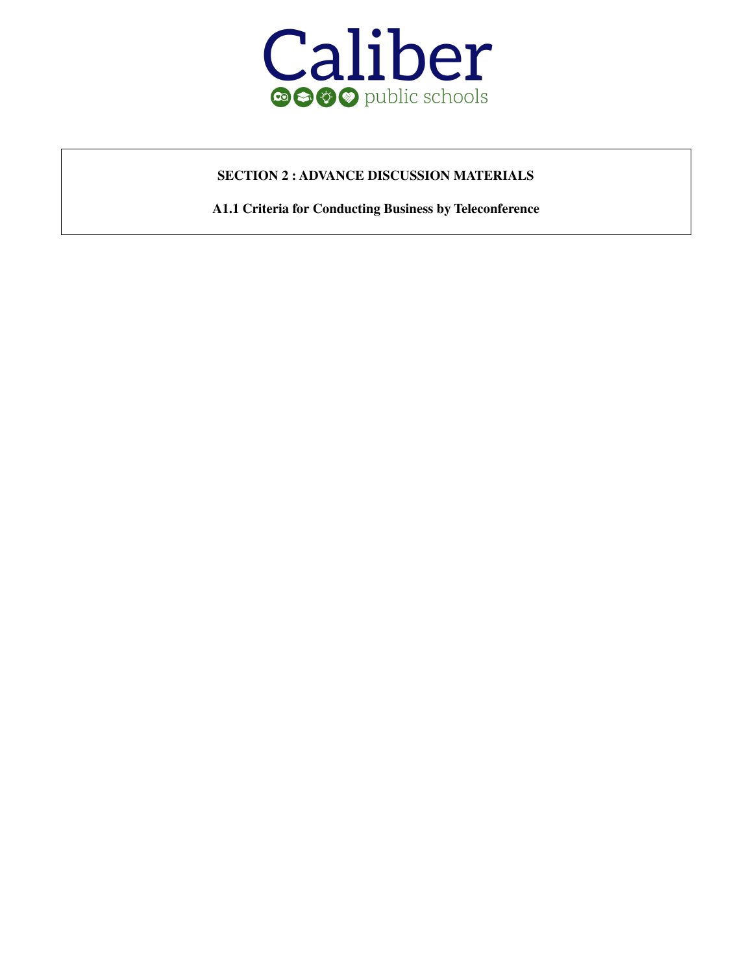

#### **SECTION 2 : ADVANCE DISCUSSION MATERIALS**

**A1.1 Criteria for Conducting Business by Teleconference**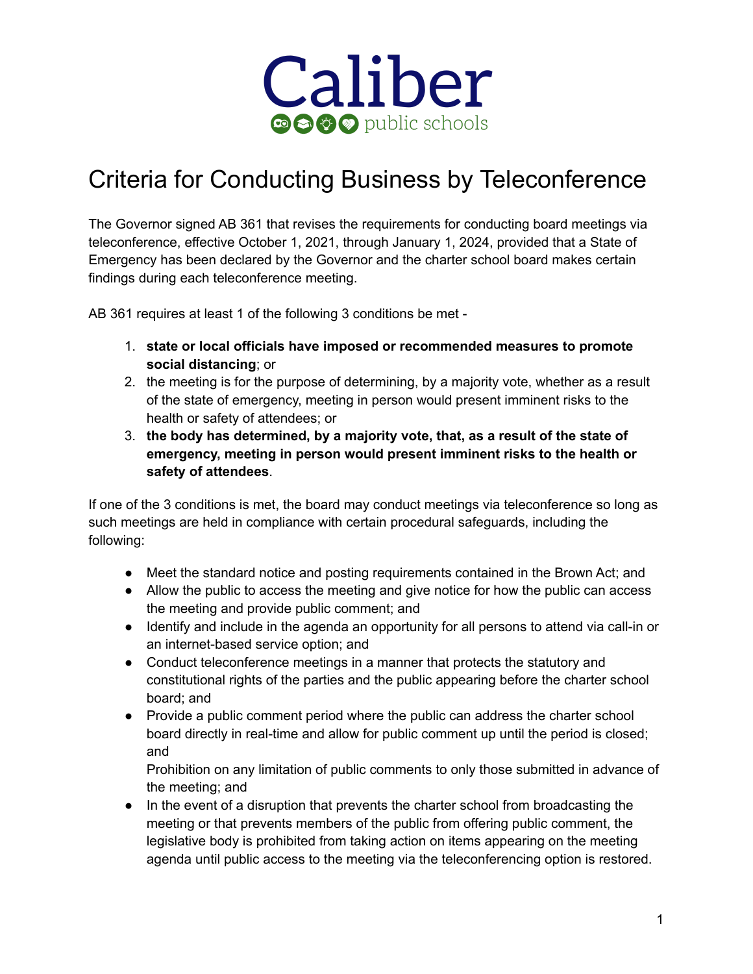

# Criteria for Conducting Business by Teleconference

The Governor signed AB 361 that revises the requirements for conducting board meetings via teleconference, effective October 1, 2021, through January 1, 2024, provided that a State of Emergency has been declared by the Governor and the charter school board makes certain findings during each teleconference meeting.

AB 361 requires at least 1 of the following 3 conditions be met -

- 1. **state or local officials have imposed or recommended measures to promote social distancing**; or
- 2. the meeting is for the purpose of determining, by a majority vote, whether as a result of the state of emergency, meeting in person would present imminent risks to the health or safety of attendees; or
- 3. **the body has determined, by a majority vote, that, as a result of the state of emergency, meeting in person would present imminent risks to the health or safety of attendees**.

If one of the 3 conditions is met, the board may conduct meetings via teleconference so long as such meetings are held in compliance with certain procedural safeguards, including the following:

- Meet the standard notice and posting requirements contained in the Brown Act; and
- Allow the public to access the meeting and give notice for how the public can access the meeting and provide public comment; and
- Identify and include in the agenda an opportunity for all persons to attend via call-in or an internet-based service option; and
- Conduct teleconference meetings in a manner that protects the statutory and constitutional rights of the parties and the public appearing before the charter school board; and
- Provide a public comment period where the public can address the charter school board directly in real-time and allow for public comment up until the period is closed; and

Prohibition on any limitation of public comments to only those submitted in advance of the meeting; and

● In the event of a disruption that prevents the charter school from broadcasting the meeting or that prevents members of the public from offering public comment, the legislative body is prohibited from taking action on items appearing on the meeting agenda until public access to the meeting via the teleconferencing option is restored.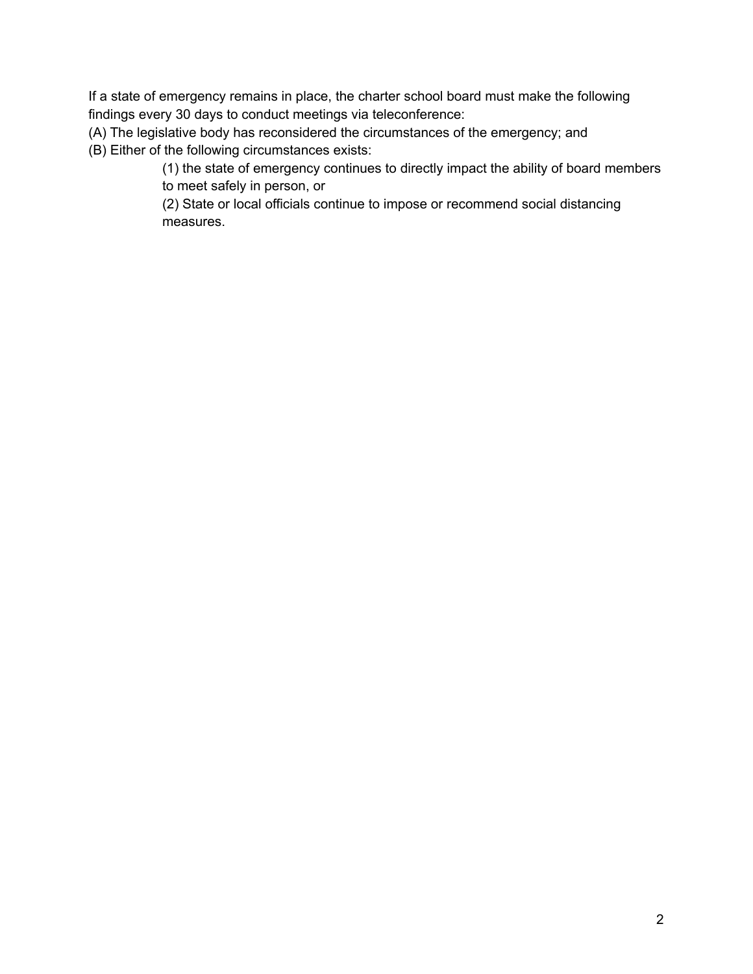If a state of emergency remains in place, the charter school board must make the following findings every 30 days to conduct meetings via teleconference:

(A) The legislative body has reconsidered the circumstances of the emergency; and (B) Either of the following circumstances exists:

(1) the state of emergency continues to directly impact the ability of board members to meet safely in person, or

(2) State or local officials continue to impose or recommend social distancing measures.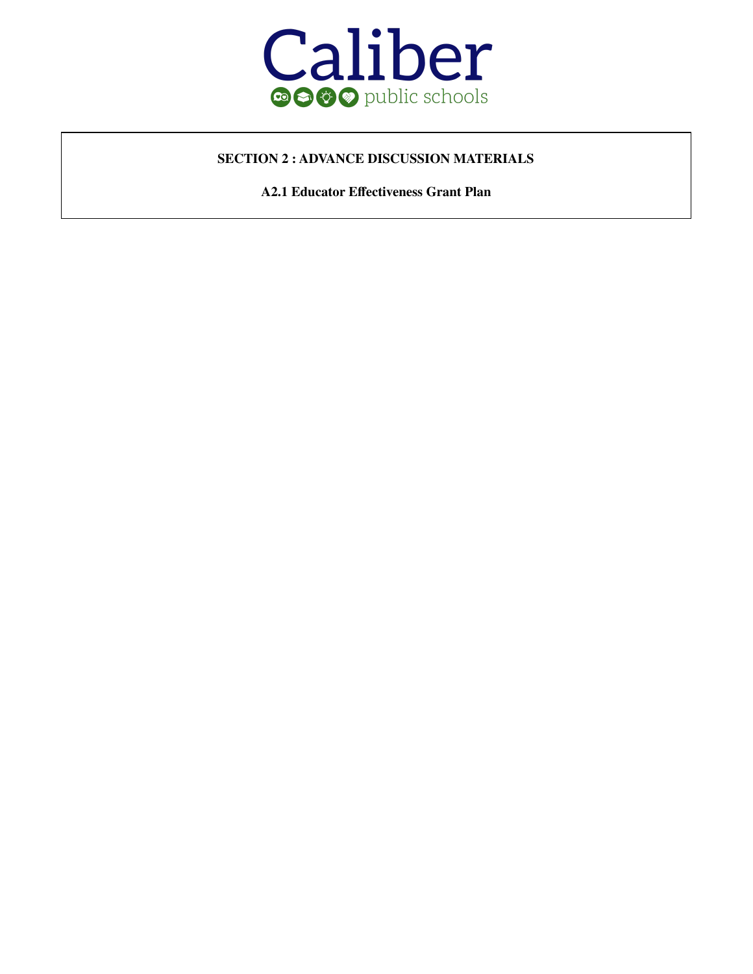

#### **SECTION 2 : ADVANCE DISCUSSION MATERIALS**

**A2.1 Educator Effectiveness Grant Plan**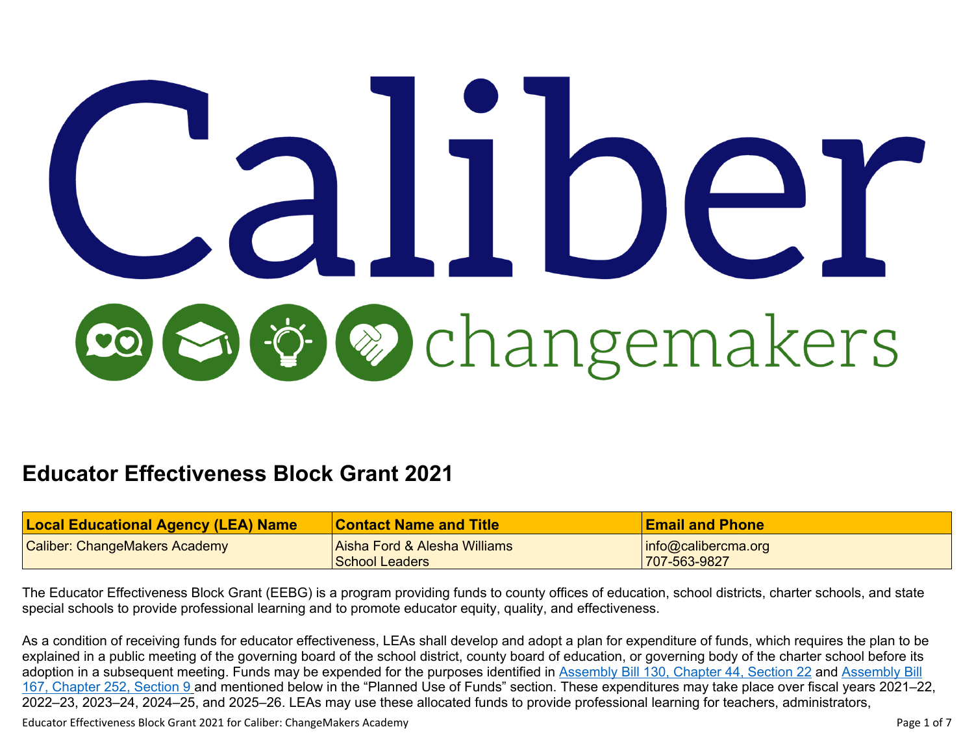# **& changemakers**

# **Educator Effectiveness Block Grant 2021**

| <b>Local Educational Agency (LEA) Name</b> | Contact Name and Title       | <b>Email and Phone</b>  |
|--------------------------------------------|------------------------------|-------------------------|
| <b>Caliber: ChangeMakers Academy</b>       | Aisha Ford & Alesha Williams | $ $ info@calibercma.org |
|                                            | School Leaders               | 707-563-9827            |

The Educator Effectiveness Block Grant (EEBG) is a program providing funds to county offices of education, school districts, charter schools, and state special schools to provide professional learning and to promote educator equity, quality, and effectiveness.

As a condition of receiving funds for educator effectiveness, LEAs shall develop and adopt a plan for expenditure of funds, which requires the plan to be explained in a public meeting of the governing board of the school district, county board of education, or governing body of the charter school before its adoption in a subsequent meeting. Funds may be expended for the purposes identified in [Assembly](https://leginfo.legislature.ca.gov/faces/billTextClient.xhtml?bill_id=202120220AB167) Bill 130, Chapter 44, Section 22 and Assembly Bill 167, [Chapter](https://leginfo.legislature.ca.gov/faces/billTextClient.xhtml?bill_id=202120220AB167) 252, Section 9 and mentioned below in the "Planned Use of Funds" section. These expenditures may take place over fiscal years 2021–22, 2022–23, 2023–24, 2024–25, and 2025–26. LEAs may use these allocated funds to provide professional learning for teachers, administrators,

Educator Effectiveness Block Grant 2021 for Caliber: ChangeMakers Academy Page 1 of 7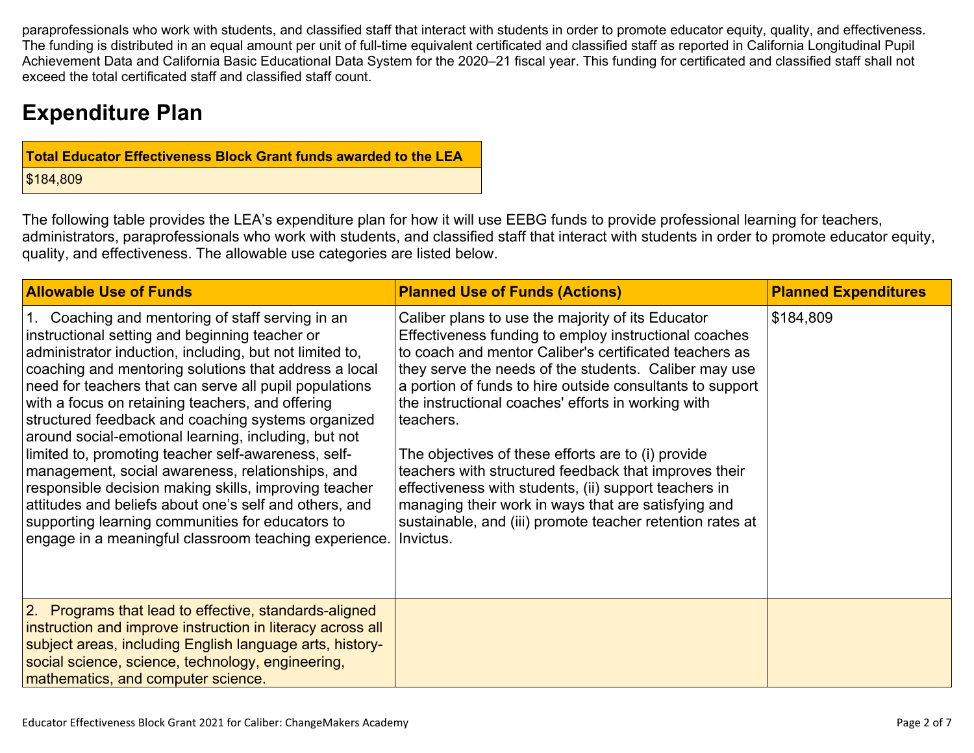paraprofessionals who work with students, and classified staff that interact with students in order to promote educator equity, quality, and effectiveness. The funding is distributed in an equal amount per unit of full-time equivalent certificated and classified staff as reported in California Longitudinal Pupil Achievement Data and California Basic Educational Data System for the 2020–21 fiscal year. This funding for certificated and classified staff shall not exceed the total certificated staff and classified staff count.

# **Expenditure Plan**

| Total Educator Effectiveness Block Grant funds awarded to the LEA |
|-------------------------------------------------------------------|
| \$184,809                                                         |

The following table provides the LEA's expenditure plan for how it will use EEBG funds to provide professional learning for teachers, administrators, paraprofessionals who work with students, and classified staff that interact with students in order to promote educator equity, quality, and effectiveness. The allowable use categories are listed below.

| <b>Allowable Use of Funds</b>                                                                                                                                                                                                                                                                                                                                                                                                                                                                                                                                                                                                                                                                                                                                                                           | <b>Planned Use of Funds (Actions)</b>                                                                                                                                                                                                                                                                                                                                                                                                                                                                                                                                                                                                                     | <b>Planned Expenditures</b> |
|---------------------------------------------------------------------------------------------------------------------------------------------------------------------------------------------------------------------------------------------------------------------------------------------------------------------------------------------------------------------------------------------------------------------------------------------------------------------------------------------------------------------------------------------------------------------------------------------------------------------------------------------------------------------------------------------------------------------------------------------------------------------------------------------------------|-----------------------------------------------------------------------------------------------------------------------------------------------------------------------------------------------------------------------------------------------------------------------------------------------------------------------------------------------------------------------------------------------------------------------------------------------------------------------------------------------------------------------------------------------------------------------------------------------------------------------------------------------------------|-----------------------------|
| 1. Coaching and mentoring of staff serving in an<br>instructional setting and beginning teacher or<br>administrator induction, including, but not limited to,<br>coaching and mentoring solutions that address a local<br>need for teachers that can serve all pupil populations<br>with a focus on retaining teachers, and offering<br>structured feedback and coaching systems organized<br>around social-emotional learning, including, but not<br>limited to, promoting teacher self-awareness, self-<br>management, social awareness, relationships, and<br>responsible decision making skills, improving teacher<br>attitudes and beliefs about one's self and others, and<br>supporting learning communities for educators to<br>engage in a meaningful classroom teaching experience. Invictus. | Caliber plans to use the majority of its Educator<br>Effectiveness funding to employ instructional coaches<br>to coach and mentor Caliber's certificated teachers as<br>they serve the needs of the students. Caliber may use<br>a portion of funds to hire outside consultants to support<br>the instructional coaches' efforts in working with<br>teachers.<br>The objectives of these efforts are to (i) provide<br>teachers with structured feedback that improves their<br>effectiveness with students, (ii) support teachers in<br>managing their work in ways that are satisfying and<br>sustainable, and (iii) promote teacher retention rates at | \$184,809                   |
| 2. Programs that lead to effective, standards-aligned<br>instruction and improve instruction in literacy across all<br>subject areas, including English language arts, history-<br>social science, science, technology, engineering,<br>mathematics, and computer science.                                                                                                                                                                                                                                                                                                                                                                                                                                                                                                                              |                                                                                                                                                                                                                                                                                                                                                                                                                                                                                                                                                                                                                                                           |                             |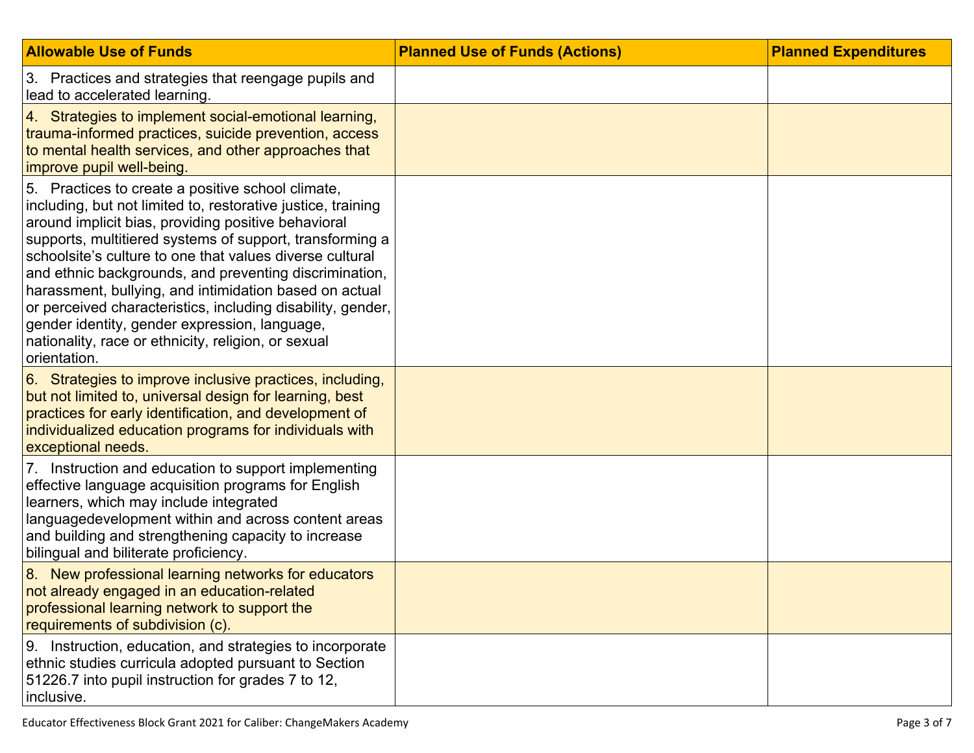| <b>Allowable Use of Funds</b>                                                                                                                                                                                                                                                                                                                                                                                                                                                                                                                                                                               | <b>Planned Use of Funds (Actions)</b> | <b>Planned Expenditures</b> |
|-------------------------------------------------------------------------------------------------------------------------------------------------------------------------------------------------------------------------------------------------------------------------------------------------------------------------------------------------------------------------------------------------------------------------------------------------------------------------------------------------------------------------------------------------------------------------------------------------------------|---------------------------------------|-----------------------------|
| 3. Practices and strategies that reengage pupils and<br>lead to accelerated learning.                                                                                                                                                                                                                                                                                                                                                                                                                                                                                                                       |                                       |                             |
| 4. Strategies to implement social-emotional learning,<br>trauma-informed practices, suicide prevention, access<br>to mental health services, and other approaches that<br>improve pupil well-being.                                                                                                                                                                                                                                                                                                                                                                                                         |                                       |                             |
| 5. Practices to create a positive school climate,<br>including, but not limited to, restorative justice, training<br>around implicit bias, providing positive behavioral<br>supports, multitiered systems of support, transforming a<br>schoolsite's culture to one that values diverse cultural<br>and ethnic backgrounds, and preventing discrimination,<br>harassment, bullying, and intimidation based on actual<br>or perceived characteristics, including disability, gender,<br>gender identity, gender expression, language,<br>nationality, race or ethnicity, religion, or sexual<br>orientation. |                                       |                             |
| 6. Strategies to improve inclusive practices, including,<br>but not limited to, universal design for learning, best<br>practices for early identification, and development of<br>individualized education programs for individuals with<br>exceptional needs.                                                                                                                                                                                                                                                                                                                                               |                                       |                             |
| 7. Instruction and education to support implementing<br>effective language acquisition programs for English<br>learners, which may include integrated<br>languagedevelopment within and across content areas<br>and building and strengthening capacity to increase<br>bilingual and biliterate proficiency.                                                                                                                                                                                                                                                                                                |                                       |                             |
| 8. New professional learning networks for educators<br>not already engaged in an education-related<br>professional learning network to support the<br>requirements of subdivision (c).                                                                                                                                                                                                                                                                                                                                                                                                                      |                                       |                             |
| Instruction, education, and strategies to incorporate<br>9.<br>ethnic studies curricula adopted pursuant to Section<br>51226.7 into pupil instruction for grades 7 to 12,<br>inclusive.                                                                                                                                                                                                                                                                                                                                                                                                                     |                                       |                             |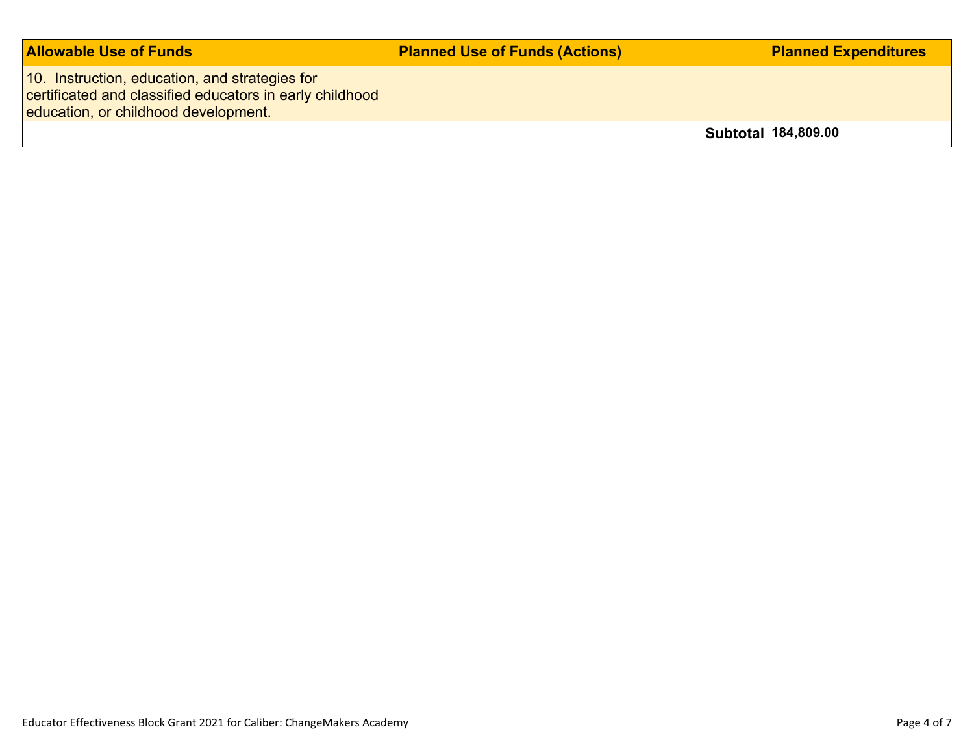| <b>Allowable Use of Funds</b>                                                                                                                      | <b>Planned Use of Funds (Actions)</b> | <b>Planned Expenditures</b> |
|----------------------------------------------------------------------------------------------------------------------------------------------------|---------------------------------------|-----------------------------|
| 10. Instruction, education, and strategies for<br>certificated and classified educators in early childhood<br>education, or childhood development. |                                       |                             |
|                                                                                                                                                    |                                       | Subtotal 184,809.00         |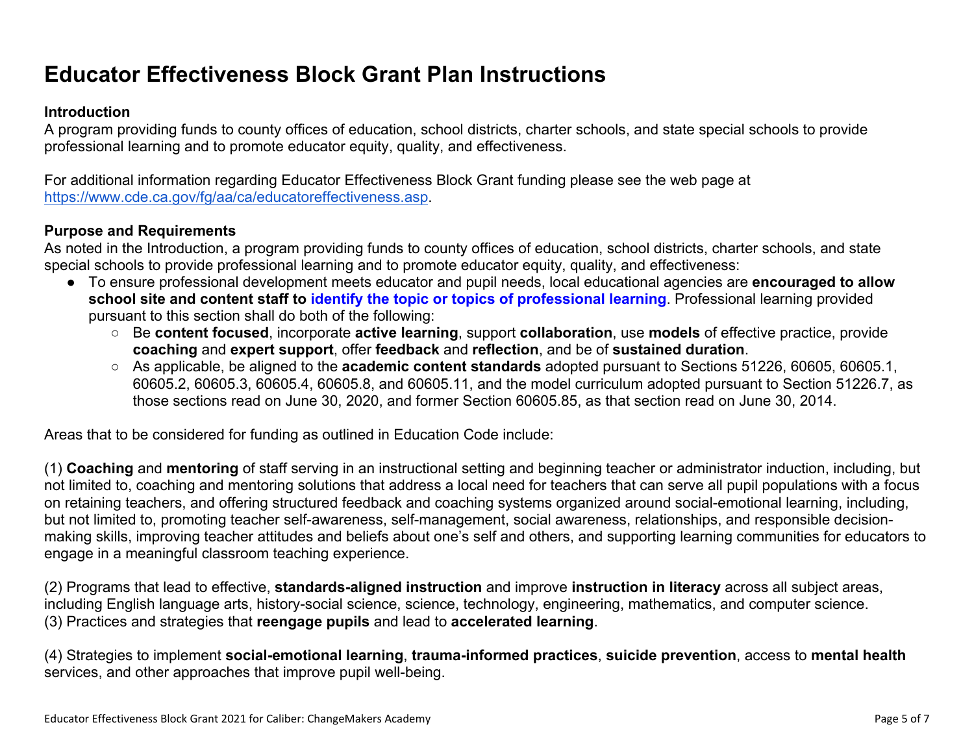# **Educator Effectiveness Block Grant Plan Instructions**

#### **Introduction**

A program providing funds to county offices of education, school districts, charter schools, and state special schools to provide professional learning and to promote educator equity, quality, and effectiveness.

For additional information regarding Educator Effectiveness Block Grant funding please see the web page at <https://www.cde.ca.gov/fg/aa/ca/educatoreffectiveness.asp>.

#### **Purpose and Requirements**

As noted in the Introduction, a program providing funds to county offices of education, school districts, charter schools, and state special schools to provide professional learning and to promote educator equity, quality, and effectiveness:

- To ensure professional development meets educator and pupil needs, local educational agencies are **encouraged to allow school site and content staff to identify the topic or topics of professional learning**. Professional learning provided pursuant to this section shall do both of the following:
	- Be **content focused**, incorporate **active learning**, support **collaboration**, use **models** of effective practice, provide **coaching** and **expert support**, offer **feedback** and **reflection**, and be of **sustained duration**.
	- As applicable, be aligned to the **academic content standards** adopted pursuant to Sections 51226, 60605, 60605.1, 60605.2, 60605.3, 60605.4, 60605.8, and 60605.11, and the model curriculum adopted pursuant to Section 51226.7, as those sections read on June 30, 2020, and former Section 60605.85, as that section read on June 30, 2014.

Areas that to be considered for funding as outlined in Education Code include:

(1) **Coaching** and **mentoring** of staff serving in an instructional setting and beginning teacher or administrator induction, including, but not limited to, coaching and mentoring solutions that address a local need for teachers that can serve all pupil populations with a focus on retaining teachers, and offering structured feedback and coaching systems organized around social-emotional learning, including, but not limited to, promoting teacher self-awareness, self-management, social awareness, relationships, and responsible decisionmaking skills, improving teacher attitudes and beliefs about one's self and others, and supporting learning communities for educators to engage in a meaningful classroom teaching experience.

(2) Programs that lead to effective, **standards-aligned instruction** and improve **instruction in literacy** across all subject areas, including English language arts, history-social science, science, technology, engineering, mathematics, and computer science. (3) Practices and strategies that **reengage pupils** and lead to **accelerated learning**.

(4) Strategies to implement **social-emotional learning**, **trauma-informed practices**, **suicide prevention**, access to **mental health** services, and other approaches that improve pupil well-being.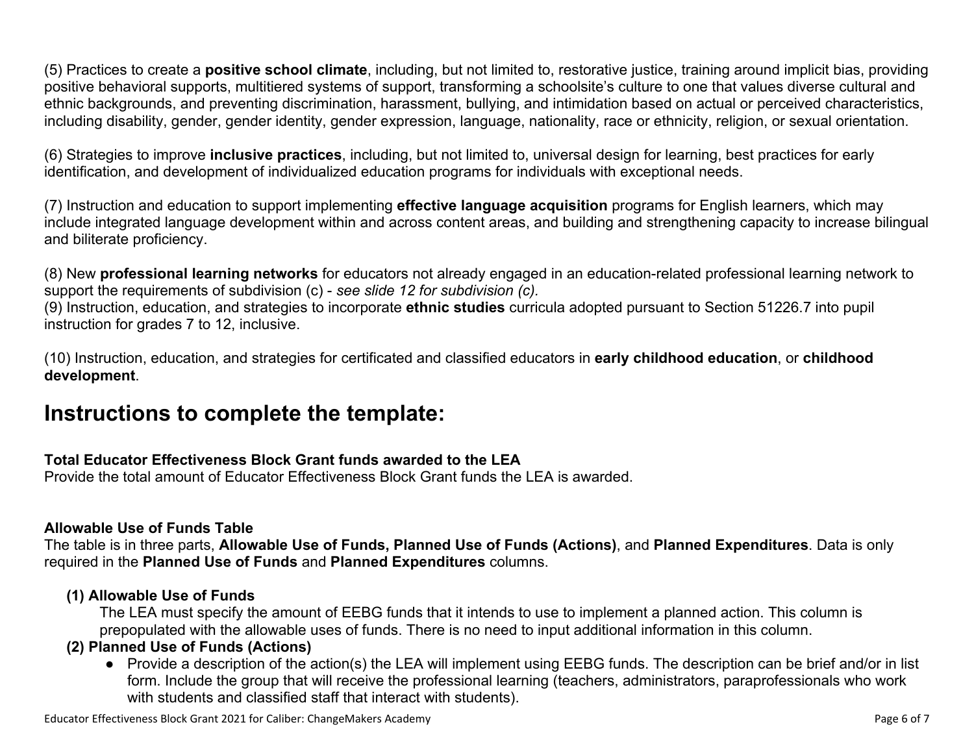(5) Practices to create a **positive school climate**, including, but not limited to, restorative justice, training around implicit bias, providing positive behavioral supports, multitiered systems of support, transforming a schoolsite's culture to one that values diverse cultural and ethnic backgrounds, and preventing discrimination, harassment, bullying, and intimidation based on actual or perceived characteristics, including disability, gender, gender identity, gender expression, language, nationality, race or ethnicity, religion, or sexual orientation.

(6) Strategies to improve **inclusive practices**, including, but not limited to, universal design for learning, best practices for early identification, and development of individualized education programs for individuals with exceptional needs.

(7) Instruction and education to support implementing **effective language acquisition** programs for English learners, which may include integrated language development within and across content areas, and building and strengthening capacity to increase bilingual and biliterate proficiency.

(8) New **professional learning networks** for educators not already engaged in an education-related professional learning network to support the requirements of subdivision (c) - *see slide 12 for subdivision (c).*

(9) Instruction, education, and strategies to incorporate **ethnic studies** curricula adopted pursuant to Section 51226.7 into pupil instruction for grades 7 to 12, inclusive.

(10) Instruction, education, and strategies for certificated and classified educators in **early childhood education**, or **childhood development**.

## **Instructions to complete the template:**

#### **Total Educator Effectiveness Block Grant funds awarded to the LEA**

Provide the total amount of Educator Effectiveness Block Grant funds the LEA is awarded.

#### **Allowable Use of Funds Table**

The table is in three parts, **Allowable Use of Funds, Planned Use of Funds (Actions)**, and **Planned Expenditures**. Data is only required in the **Planned Use of Funds** and **Planned Expenditures** columns.

#### **(1) Allowable Use of Funds**

The LEA must specify the amount of EEBG funds that it intends to use to implement a planned action. This column is prepopulated with the allowable uses of funds. There is no need to input additional information in this column.

#### **(2) Planned Use of Funds (Actions)**

● Provide a description of the action(s) the LEA will implement using EEBG funds. The description can be brief and/or in list form. Include the group that will receive the professional learning (teachers, administrators, paraprofessionals who work with students and classified staff that interact with students).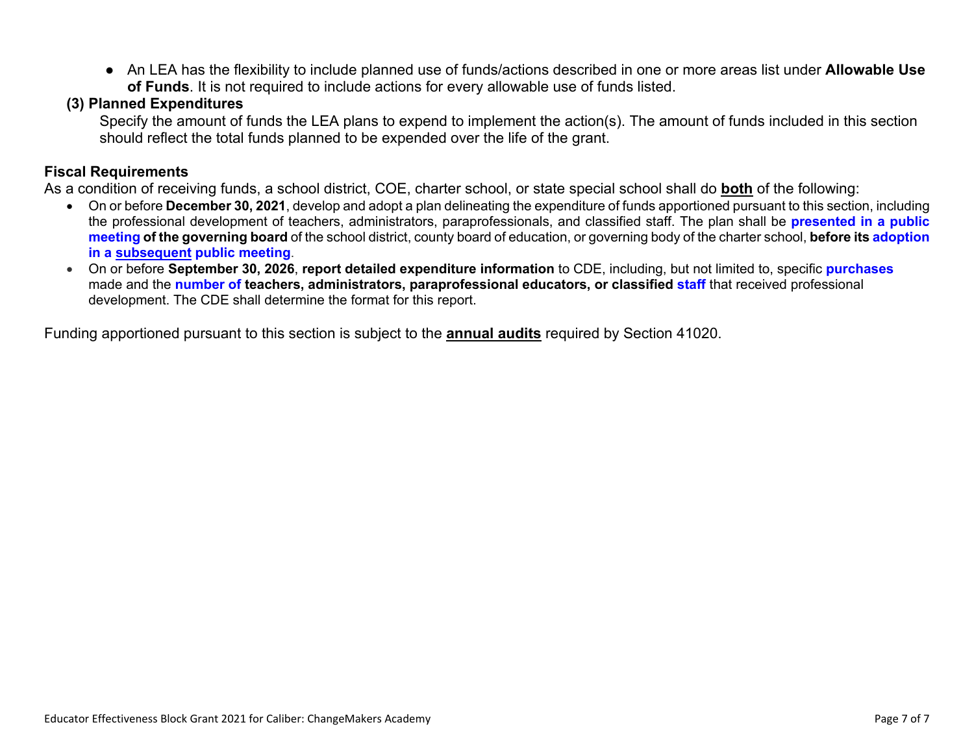● An LEA has the flexibility to include planned use of funds/actions described in one or more areas list under **Allowable Use of Funds**. It is not required to include actions for every allowable use of funds listed.

#### **(3) Planned Expenditures**

Specify the amount of funds the LEA plans to expend to implement the action(s). The amount of funds included in this section should reflect the total funds planned to be expended over the life of the grant.

#### **Fiscal Requirements**

As a condition of receiving funds, a school district, COE, charter school, or state special school shall do **both** of the following:

- On or before **December 30, 2021**, develop and adopt a plan delineating the expenditure of funds apportioned pursuant to this section, including the professional development of teachers, administrators, paraprofessionals, and classified staff. The plan shall be **presented in a public meeting of the governing board** of the school district, county board of education, or governing body of the charter school, **before its adoption in a subsequent public meeting**.
- On or before **September 30, 2026**, **report detailed expenditure information** to CDE, including, but not limited to, specific **purchases** made and the **number of teachers, administrators, paraprofessional educators, or classified staff** that received professional development. The CDE shall determine the format for this report.

Funding apportioned pursuant to this section is subject to the **annual audits** required by Section 41020.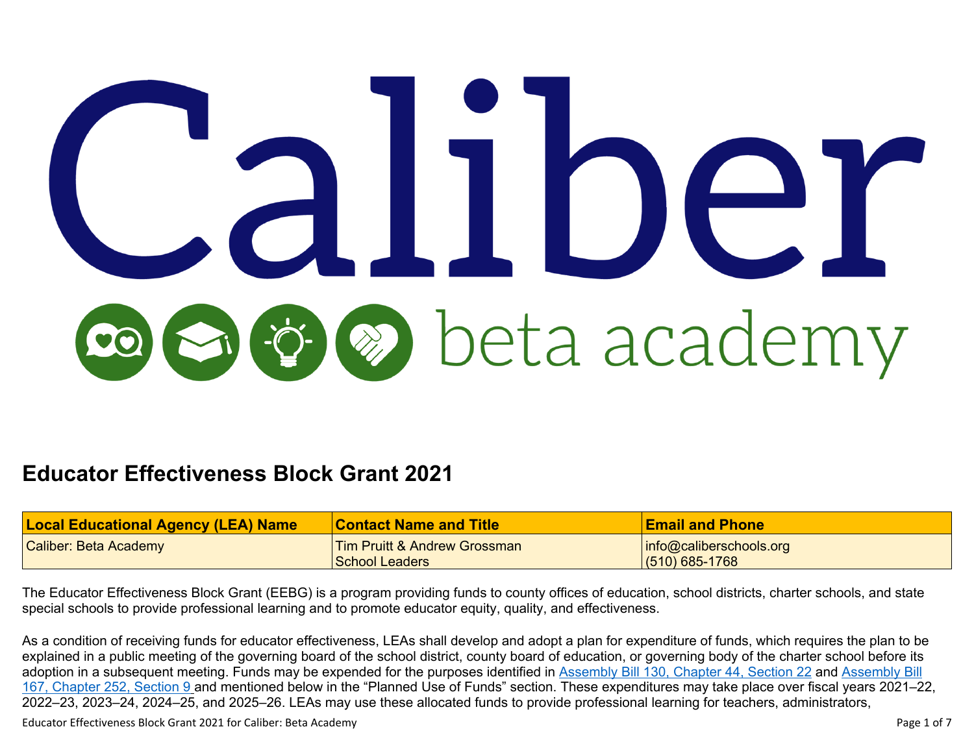# beta academy

# **Educator Effectiveness Block Grant 2021**

| <b>Local Educational Agency (LEA) Name</b> | Contact Name and Title       | <b>Email and Phone</b>      |
|--------------------------------------------|------------------------------|-----------------------------|
| <b>Caliber: Beta Academy</b>               | Tim Pruitt & Andrew Grossman | $ $ info@caliberschools.org |
|                                            | <u>'School Leaders</u>       | $(510)$ 685-1768            |

The Educator Effectiveness Block Grant (EEBG) is a program providing funds to county offices of education, school districts, charter schools, and state special schools to provide professional learning and to promote educator equity, quality, and effectiveness.

As a condition of receiving funds for educator effectiveness, LEAs shall develop and adopt a plan for expenditure of funds, which requires the plan to be explained in a public meeting of the governing board of the school district, county board of education, or governing body of the charter school before its adoption in a subsequent meeting. Funds may be expended for the purposes identified in [Assembly](https://leginfo.legislature.ca.gov/faces/billTextClient.xhtml?bill_id=202120220AB167) Bill 130, Chapter 44, Section 22 and Assembly Bill 167, [Chapter](https://leginfo.legislature.ca.gov/faces/billTextClient.xhtml?bill_id=202120220AB167) 252, Section 9 and mentioned below in the "Planned Use of Funds" section. These expenditures may take place over fiscal years 2021–22, 2022–23, 2023–24, 2024–25, and 2025–26. LEAs may use these allocated funds to provide professional learning for teachers, administrators,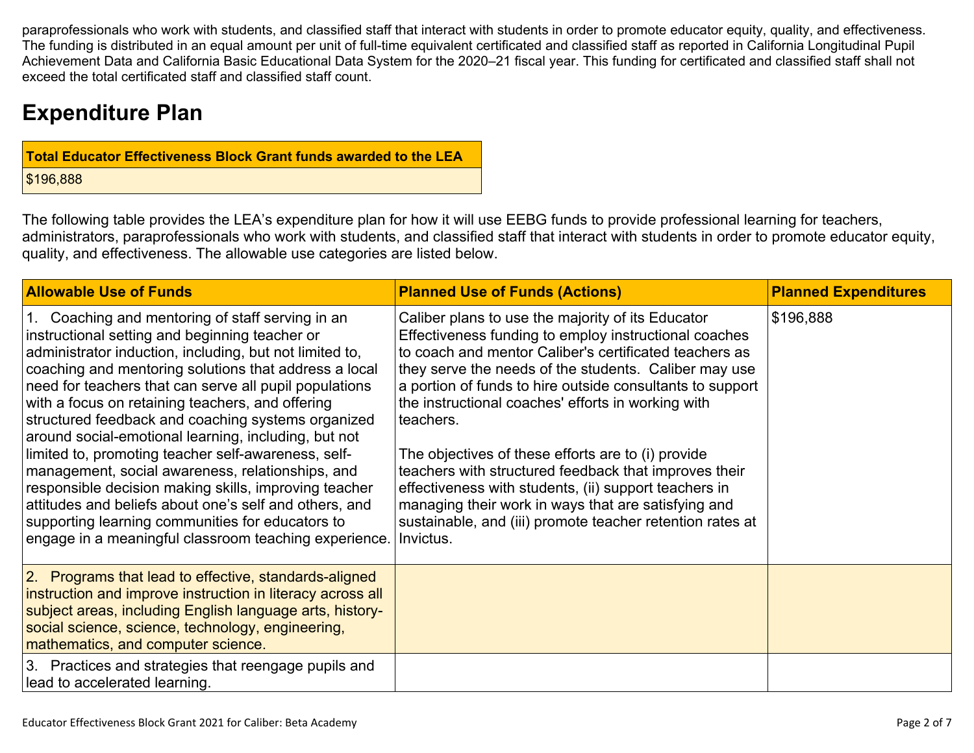paraprofessionals who work with students, and classified staff that interact with students in order to promote educator equity, quality, and effectiveness. The funding is distributed in an equal amount per unit of full-time equivalent certificated and classified staff as reported in California Longitudinal Pupil Achievement Data and California Basic Educational Data System for the 2020–21 fiscal year. This funding for certificated and classified staff shall not exceed the total certificated staff and classified staff count.

# **Expenditure Plan**

| <b>Total Educator Effectiveness Block Grant funds awarded to the LEA</b> |
|--------------------------------------------------------------------------|
| \$196,888                                                                |

The following table provides the LEA's expenditure plan for how it will use EEBG funds to provide professional learning for teachers, administrators, paraprofessionals who work with students, and classified staff that interact with students in order to promote educator equity, quality, and effectiveness. The allowable use categories are listed below.

| <b>Allowable Use of Funds</b>                                                                                                                                                                                                                                                                                                                                                                                                                                                                                                                                                                                                                                                                                                                                                                 | <b>Planned Use of Funds (Actions)</b>                                                                                                                                                                                                                                                                                                                                                                                                                                                                                                                                                                                                                                  | <b>Planned Expenditures</b> |
|-----------------------------------------------------------------------------------------------------------------------------------------------------------------------------------------------------------------------------------------------------------------------------------------------------------------------------------------------------------------------------------------------------------------------------------------------------------------------------------------------------------------------------------------------------------------------------------------------------------------------------------------------------------------------------------------------------------------------------------------------------------------------------------------------|------------------------------------------------------------------------------------------------------------------------------------------------------------------------------------------------------------------------------------------------------------------------------------------------------------------------------------------------------------------------------------------------------------------------------------------------------------------------------------------------------------------------------------------------------------------------------------------------------------------------------------------------------------------------|-----------------------------|
| 1. Coaching and mentoring of staff serving in an<br>instructional setting and beginning teacher or<br>administrator induction, including, but not limited to,<br>coaching and mentoring solutions that address a local<br>need for teachers that can serve all pupil populations<br>with a focus on retaining teachers, and offering<br>structured feedback and coaching systems organized<br>around social-emotional learning, including, but not<br>limited to, promoting teacher self-awareness, self-<br>management, social awareness, relationships, and<br>responsible decision making skills, improving teacher<br>attitudes and beliefs about one's self and others, and<br>supporting learning communities for educators to<br>engage in a meaningful classroom teaching experience. | Caliber plans to use the majority of its Educator<br>Effectiveness funding to employ instructional coaches<br>to coach and mentor Caliber's certificated teachers as<br>they serve the needs of the students. Caliber may use<br>a portion of funds to hire outside consultants to support<br>the instructional coaches' efforts in working with<br>teachers.<br>The objectives of these efforts are to (i) provide<br>teachers with structured feedback that improves their<br>effectiveness with students, (ii) support teachers in<br>managing their work in ways that are satisfying and<br>sustainable, and (iii) promote teacher retention rates at<br>Invictus. | \$196,888                   |
| 2. Programs that lead to effective, standards-aligned<br>instruction and improve instruction in literacy across all<br>subject areas, including English language arts, history-<br>social science, science, technology, engineering,<br>mathematics, and computer science.                                                                                                                                                                                                                                                                                                                                                                                                                                                                                                                    |                                                                                                                                                                                                                                                                                                                                                                                                                                                                                                                                                                                                                                                                        |                             |
| 3. Practices and strategies that reengage pupils and<br>lead to accelerated learning.                                                                                                                                                                                                                                                                                                                                                                                                                                                                                                                                                                                                                                                                                                         |                                                                                                                                                                                                                                                                                                                                                                                                                                                                                                                                                                                                                                                                        |                             |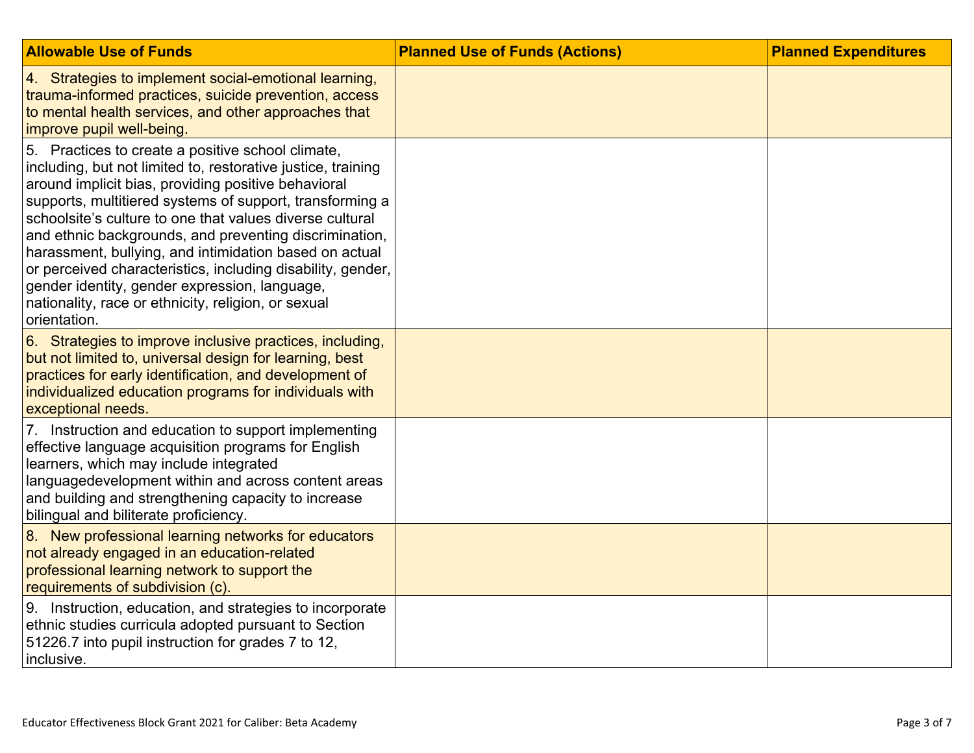| <b>Allowable Use of Funds</b>                                                                                                                                                                                                                                                                                                                                                                                                                                                                                                                                                                               | <b>Planned Use of Funds (Actions)</b> | <b>Planned Expenditures</b> |
|-------------------------------------------------------------------------------------------------------------------------------------------------------------------------------------------------------------------------------------------------------------------------------------------------------------------------------------------------------------------------------------------------------------------------------------------------------------------------------------------------------------------------------------------------------------------------------------------------------------|---------------------------------------|-----------------------------|
| 4. Strategies to implement social-emotional learning,<br>trauma-informed practices, suicide prevention, access<br>to mental health services, and other approaches that<br>improve pupil well-being                                                                                                                                                                                                                                                                                                                                                                                                          |                                       |                             |
| 5. Practices to create a positive school climate,<br>including, but not limited to, restorative justice, training<br>around implicit bias, providing positive behavioral<br>supports, multitiered systems of support, transforming a<br>schoolsite's culture to one that values diverse cultural<br>and ethnic backgrounds, and preventing discrimination,<br>harassment, bullying, and intimidation based on actual<br>or perceived characteristics, including disability, gender,<br>gender identity, gender expression, language,<br>nationality, race or ethnicity, religion, or sexual<br>orientation. |                                       |                             |
| 6. Strategies to improve inclusive practices, including,<br>but not limited to, universal design for learning, best<br>practices for early identification, and development of<br>individualized education programs for individuals with<br>exceptional needs.                                                                                                                                                                                                                                                                                                                                               |                                       |                             |
| 7. Instruction and education to support implementing<br>effective language acquisition programs for English<br>learners, which may include integrated<br>languagedevelopment within and across content areas<br>and building and strengthening capacity to increase<br>bilingual and biliterate proficiency.                                                                                                                                                                                                                                                                                                |                                       |                             |
| 8. New professional learning networks for educators<br>not already engaged in an education-related<br>professional learning network to support the<br>requirements of subdivision (c).                                                                                                                                                                                                                                                                                                                                                                                                                      |                                       |                             |
| 9. Instruction, education, and strategies to incorporate<br>ethnic studies curricula adopted pursuant to Section<br>51226.7 into pupil instruction for grades 7 to 12,<br>inclusive.                                                                                                                                                                                                                                                                                                                                                                                                                        |                                       |                             |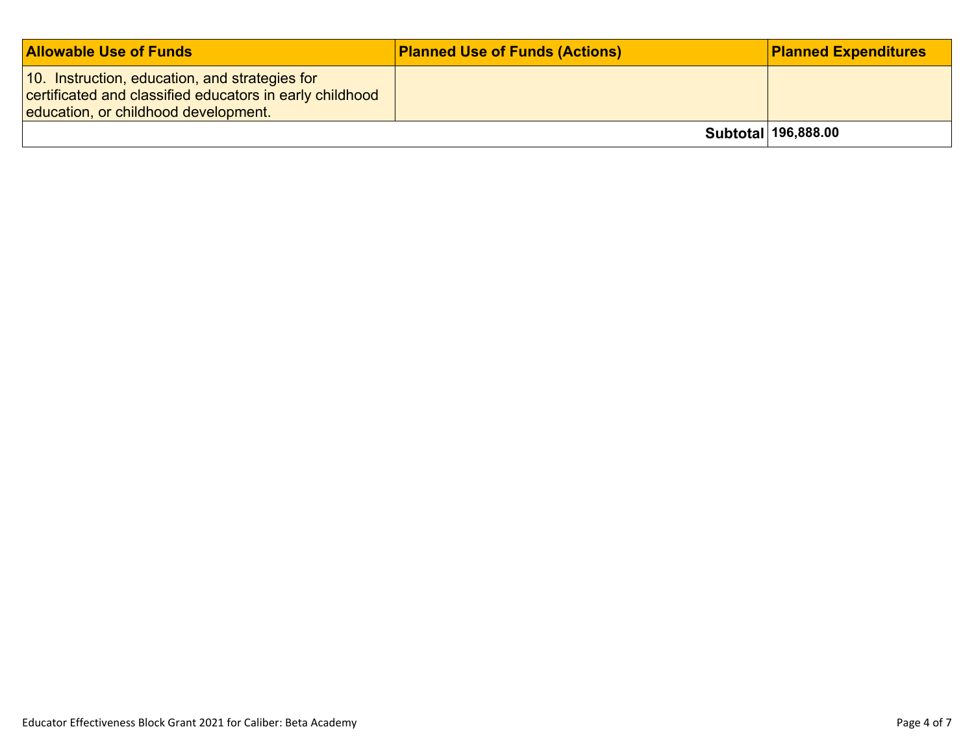| <b>Allowable Use of Funds</b>                                                                                                                      | <b>Planned Use of Funds (Actions)</b> | <b>Planned Expenditures</b> |
|----------------------------------------------------------------------------------------------------------------------------------------------------|---------------------------------------|-----------------------------|
| 10. Instruction, education, and strategies for<br>certificated and classified educators in early childhood<br>education, or childhood development. |                                       |                             |
|                                                                                                                                                    |                                       | Subtotal 196,888.00         |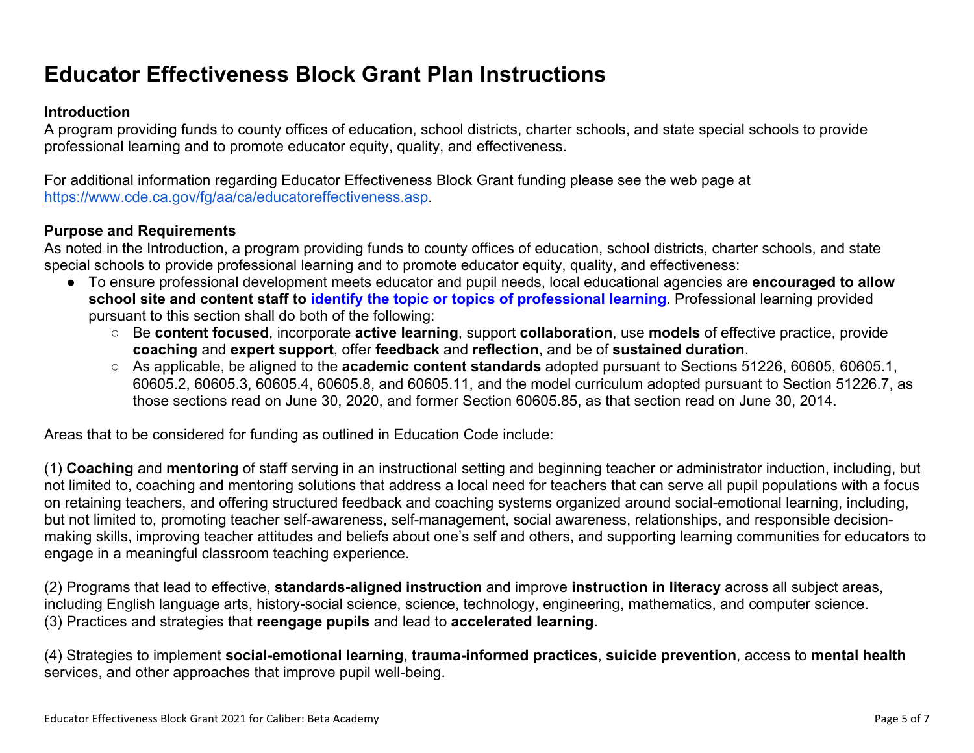# **Educator Effectiveness Block Grant Plan Instructions**

#### **Introduction**

A program providing funds to county offices of education, school districts, charter schools, and state special schools to provide professional learning and to promote educator equity, quality, and effectiveness.

For additional information regarding Educator Effectiveness Block Grant funding please see the web page at <https://www.cde.ca.gov/fg/aa/ca/educatoreffectiveness.asp>.

#### **Purpose and Requirements**

As noted in the Introduction, a program providing funds to county offices of education, school districts, charter schools, and state special schools to provide professional learning and to promote educator equity, quality, and effectiveness:

- To ensure professional development meets educator and pupil needs, local educational agencies are **encouraged to allow school site and content staff to identify the topic or topics of professional learning**. Professional learning provided pursuant to this section shall do both of the following:
	- Be **content focused**, incorporate **active learning**, support **collaboration**, use **models** of effective practice, provide **coaching** and **expert support**, offer **feedback** and **reflection**, and be of **sustained duration**.
	- As applicable, be aligned to the **academic content standards** adopted pursuant to Sections 51226, 60605, 60605.1, 60605.2, 60605.3, 60605.4, 60605.8, and 60605.11, and the model curriculum adopted pursuant to Section 51226.7, as those sections read on June 30, 2020, and former Section 60605.85, as that section read on June 30, 2014.

Areas that to be considered for funding as outlined in Education Code include:

(1) **Coaching** and **mentoring** of staff serving in an instructional setting and beginning teacher or administrator induction, including, but not limited to, coaching and mentoring solutions that address a local need for teachers that can serve all pupil populations with a focus on retaining teachers, and offering structured feedback and coaching systems organized around social-emotional learning, including, but not limited to, promoting teacher self-awareness, self-management, social awareness, relationships, and responsible decisionmaking skills, improving teacher attitudes and beliefs about one's self and others, and supporting learning communities for educators to engage in a meaningful classroom teaching experience.

(2) Programs that lead to effective, **standards-aligned instruction** and improve **instruction in literacy** across all subject areas, including English language arts, history-social science, science, technology, engineering, mathematics, and computer science. (3) Practices and strategies that **reengage pupils** and lead to **accelerated learning**.

(4) Strategies to implement **social-emotional learning**, **trauma-informed practices**, **suicide prevention**, access to **mental health** services, and other approaches that improve pupil well-being.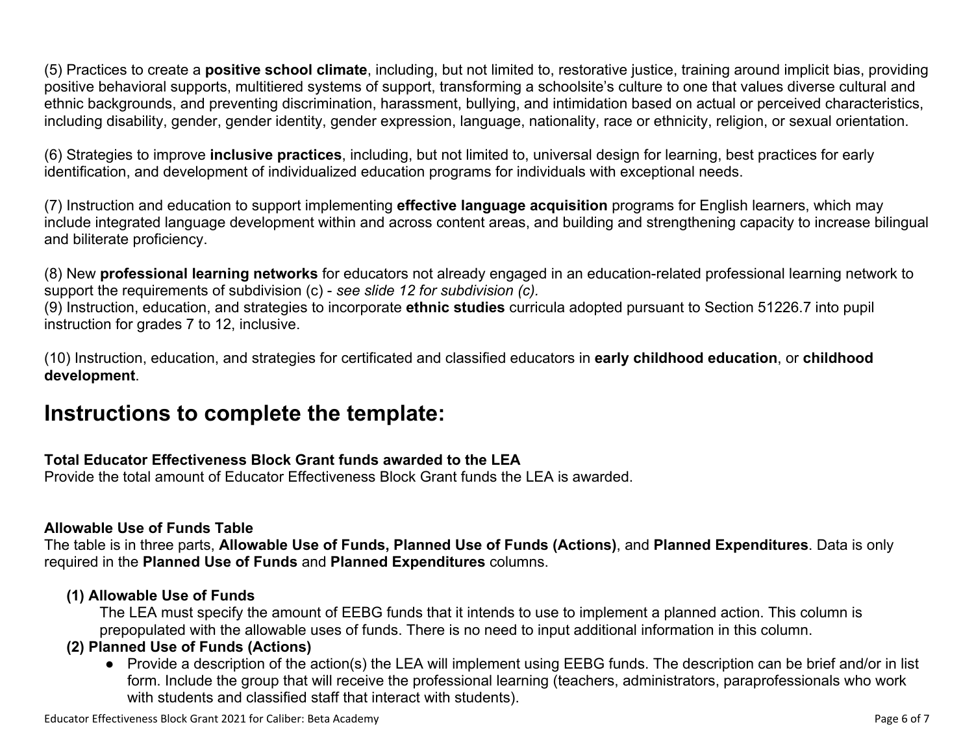(5) Practices to create a **positive school climate**, including, but not limited to, restorative justice, training around implicit bias, providing positive behavioral supports, multitiered systems of support, transforming a schoolsite's culture to one that values diverse cultural and ethnic backgrounds, and preventing discrimination, harassment, bullying, and intimidation based on actual or perceived characteristics, including disability, gender, gender identity, gender expression, language, nationality, race or ethnicity, religion, or sexual orientation.

(6) Strategies to improve **inclusive practices**, including, but not limited to, universal design for learning, best practices for early identification, and development of individualized education programs for individuals with exceptional needs.

(7) Instruction and education to support implementing **effective language acquisition** programs for English learners, which may include integrated language development within and across content areas, and building and strengthening capacity to increase bilingual and biliterate proficiency.

(8) New **professional learning networks** for educators not already engaged in an education-related professional learning network to support the requirements of subdivision (c) - *see slide 12 for subdivision (c).*

(9) Instruction, education, and strategies to incorporate **ethnic studies** curricula adopted pursuant to Section 51226.7 into pupil instruction for grades 7 to 12, inclusive.

(10) Instruction, education, and strategies for certificated and classified educators in **early childhood education**, or **childhood development**.

## **Instructions to complete the template:**

#### **Total Educator Effectiveness Block Grant funds awarded to the LEA**

Provide the total amount of Educator Effectiveness Block Grant funds the LEA is awarded.

#### **Allowable Use of Funds Table**

The table is in three parts, **Allowable Use of Funds, Planned Use of Funds (Actions)**, and **Planned Expenditures**. Data is only required in the **Planned Use of Funds** and **Planned Expenditures** columns.

#### **(1) Allowable Use of Funds**

The LEA must specify the amount of EEBG funds that it intends to use to implement a planned action. This column is prepopulated with the allowable uses of funds. There is no need to input additional information in this column.

#### **(2) Planned Use of Funds (Actions)**

● Provide a description of the action(s) the LEA will implement using EEBG funds. The description can be brief and/or in list form. Include the group that will receive the professional learning (teachers, administrators, paraprofessionals who work with students and classified staff that interact with students).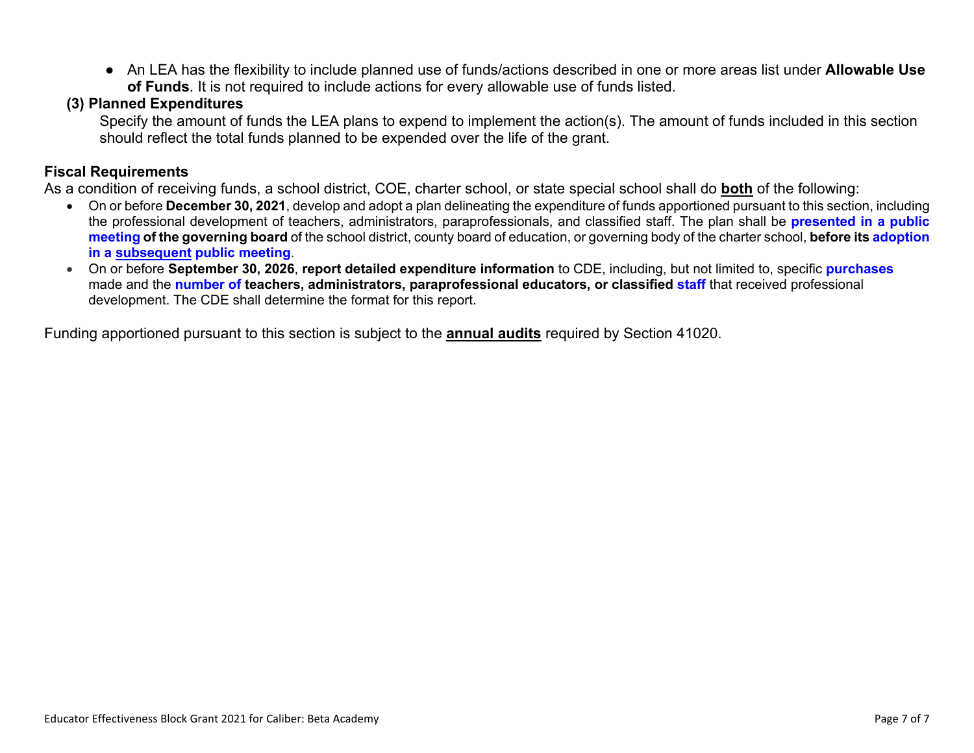● An LEA has the flexibility to include planned use of funds/actions described in one or more areas list under **Allowable Use of Funds**. It is not required to include actions for every allowable use of funds listed.

#### **(3) Planned Expenditures**

Specify the amount of funds the LEA plans to expend to implement the action(s). The amount of funds included in this section should reflect the total funds planned to be expended over the life of the grant.

#### **Fiscal Requirements**

As a condition of receiving funds, a school district, COE, charter school, or state special school shall do **both** of the following:

- On or before **December 30, 2021**, develop and adopt a plan delineating the expenditure of funds apportioned pursuant to this section, including the professional development of teachers, administrators, paraprofessionals, and classified staff. The plan shall be **presented in a public meeting of the governing board** of the school district, county board of education, or governing body of the charter school, **before its adoption in a subsequent public meeting**.
- On or before **September 30, 2026**, **report detailed expenditure information** to CDE, including, but not limited to, specific **purchases** made and the **number of teachers, administrators, paraprofessional educators, or classified staff** that received professional development. The CDE shall determine the format for this report.

Funding apportioned pursuant to this section is subject to the **annual audits** required by Section 41020.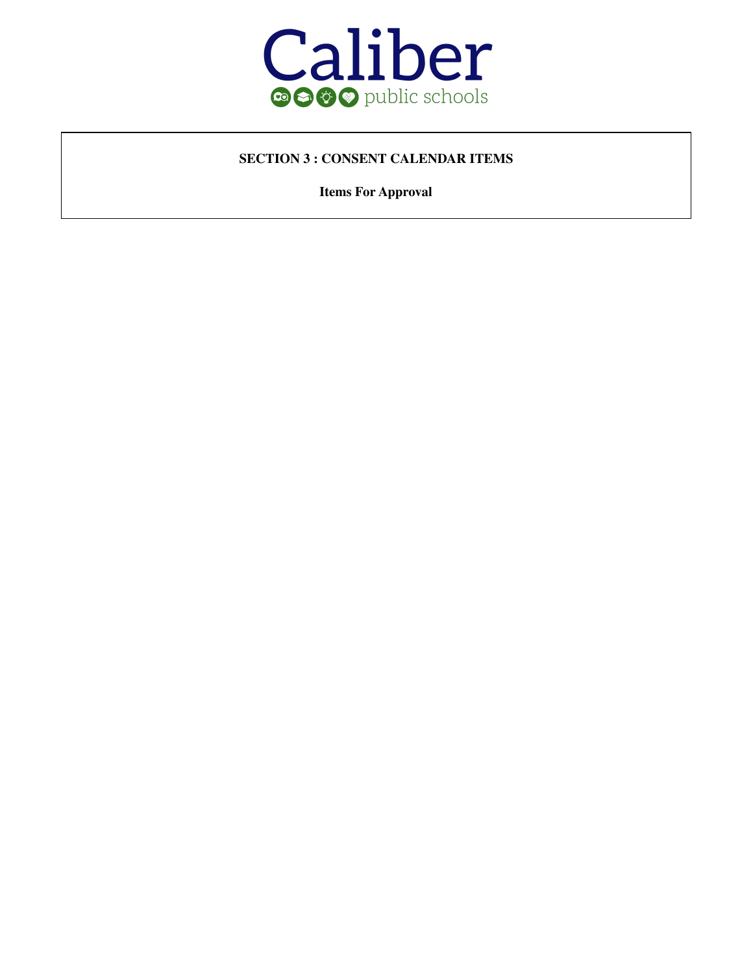

#### **SECTION 3 : CONSENT CALENDAR ITEMS**

**Items For Approval**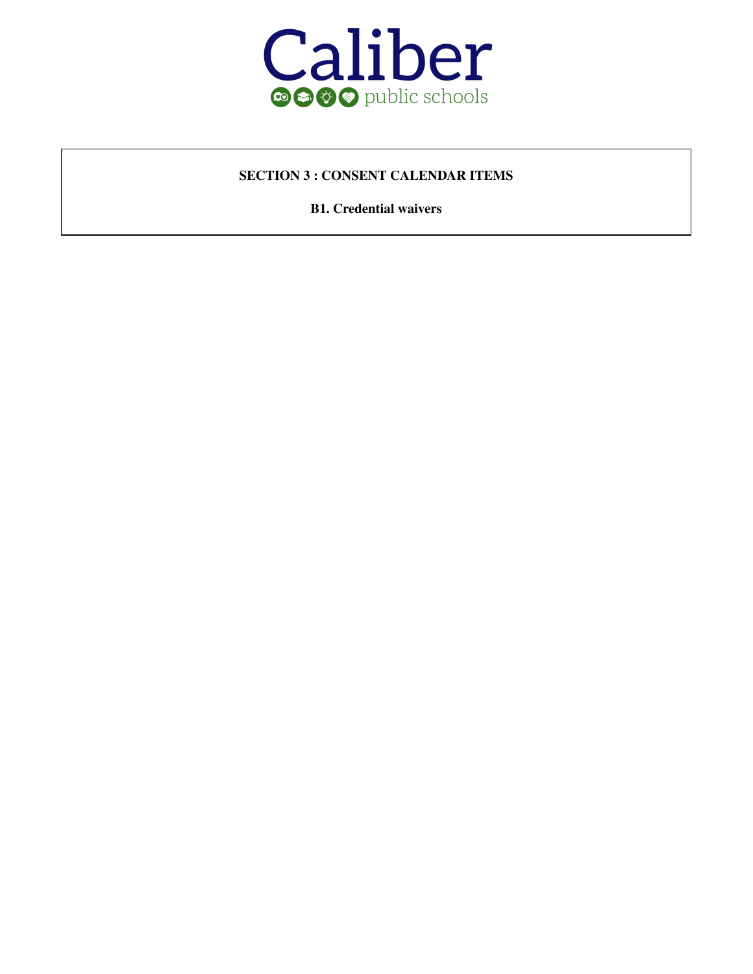

#### **SECTION 3 : CONSENT CALENDAR ITEMS**

**B1. Credential waivers**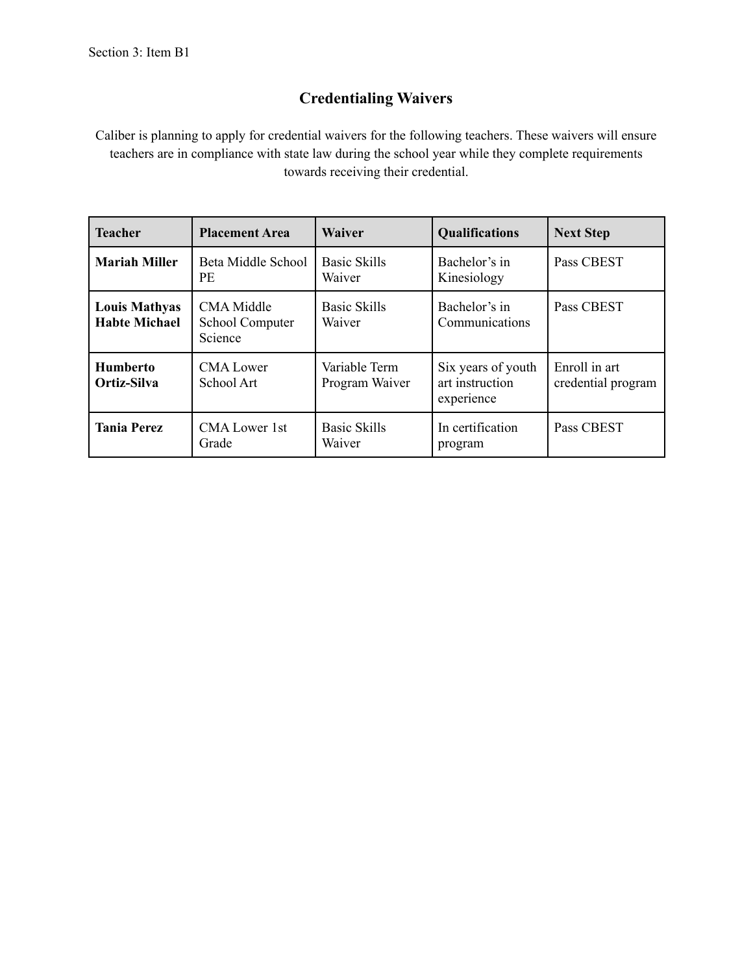#### **Credentialing Waivers**

Caliber is planning to apply for credential waivers for the following teachers. These waivers will ensure teachers are in compliance with state law during the school year while they complete requirements towards receiving their credential.

| <b>Teacher</b>                               | <b>Placement Area</b>                           | <b>Waiver</b>                   | <b>Qualifications</b>                               | <b>Next Step</b>                    |
|----------------------------------------------|-------------------------------------------------|---------------------------------|-----------------------------------------------------|-------------------------------------|
| <b>Mariah Miller</b>                         | Beta Middle School<br><b>PE</b>                 | <b>Basic Skills</b><br>Waiver   | Bachelor's in<br>Kinesiology                        | Pass CBEST                          |
| <b>Louis Mathyas</b><br><b>Habte Michael</b> | <b>CMA</b> Middle<br>School Computer<br>Science | <b>Basic Skills</b><br>Waiver   | Bachelor's in<br>Communications                     | Pass CBEST                          |
| <b>Humberto</b><br>Ortiz-Silva               | <b>CMA</b> Lower<br>School Art                  | Variable Term<br>Program Waiver | Six years of youth<br>art instruction<br>experience | Enroll in art<br>credential program |
| <b>Tania Perez</b>                           | <b>CMA Lower 1st</b><br>Grade                   | <b>Basic Skills</b><br>Waiver   | In certification<br>program                         | Pass CBEST                          |